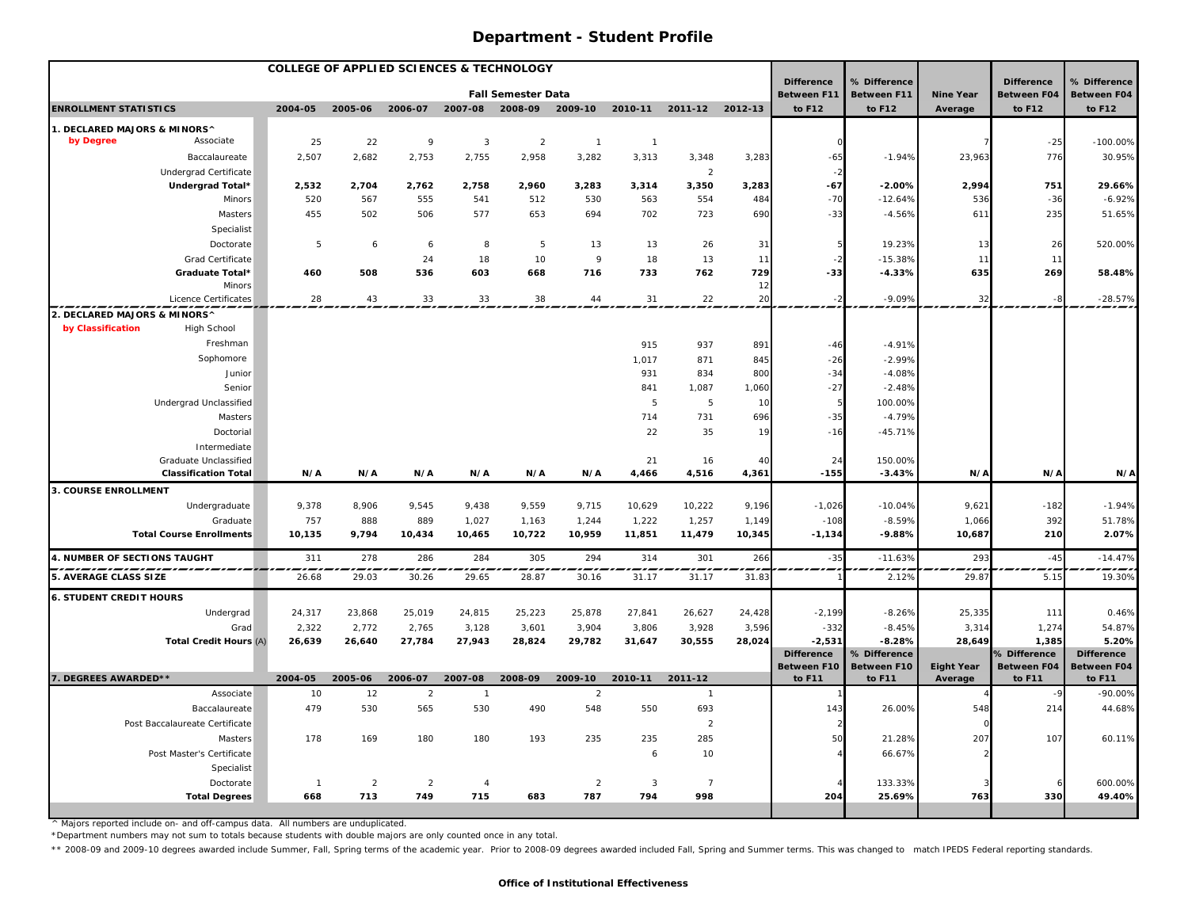| <b>COLLEGE OF APPLIED SCIENCES &amp; TECHNOLOGY</b> |                                 |                |                |                |                |                           |                |                |                |          |                                         |                                    |                   |                                         |                                    |
|-----------------------------------------------------|---------------------------------|----------------|----------------|----------------|----------------|---------------------------|----------------|----------------|----------------|----------|-----------------------------------------|------------------------------------|-------------------|-----------------------------------------|------------------------------------|
|                                                     |                                 |                |                |                |                | <b>Fall Semester Data</b> |                |                |                |          | <b>Difference</b><br><b>Between F11</b> | % Difference<br><b>Between F11</b> | <b>Nine Year</b>  | <b>Difference</b><br><b>Between F04</b> | % Difference<br><b>Between F04</b> |
| <b>ENROLLMENT STATISTICS</b>                        |                                 | 2004-05        | 2005-06        | 2006-07        | 2007-08        | 2008-09                   | 2009-10        | 2010-11        | 2011-12        | 2012-13  | to F12                                  | to F12                             | Average           | to F12                                  | to F12                             |
| 1. DECLARED MAJORS & MINORS^                        |                                 |                |                |                |                |                           |                |                |                |          |                                         |                                    |                   |                                         |                                    |
| by Degree                                           | Associate                       | 25             | 22             | 9              | 3              | $\overline{2}$            | $\overline{1}$ | $\overline{1}$ |                |          |                                         |                                    |                   | $-25$                                   | $-100.00\%$                        |
|                                                     | Baccalaureate                   | 2,507          | 2,682          | 2,753          | 2,755          | 2,958                     | 3,282          | 3,313          | 3,348          | 3,283    | $-65$                                   | $-1.94%$                           | 23,963            | 776                                     | 30.95%                             |
|                                                     | <b>Undergrad Certificate</b>    |                |                |                |                |                           |                |                | $\overline{2}$ |          |                                         |                                    |                   |                                         |                                    |
|                                                     | Undergrad Total*                | 2,532          | 2,704          | 2,762          | 2,758          | 2,960                     | 3,283          | 3,314          | 3,350          | 3,283    | $-67$                                   | $-2.00%$                           | 2,994             | 751                                     | 29.66%                             |
|                                                     | Minors                          | 520            | 567            | 555            | 541            | 512                       | 530            | 563            | 554            | 484      | $-70$                                   | $-12.64%$                          | 536               | $-36$                                   | $-6.92%$                           |
|                                                     | Masters                         | 455            | 502            | 506            | 577            | 653                       | 694            | 702            | 723            | 690      | $-33$                                   | $-4.56%$                           | 611               | 235                                     | 51.65%                             |
|                                                     | Specialist                      |                |                |                |                |                           |                |                |                |          |                                         |                                    |                   |                                         |                                    |
|                                                     | Doctorate                       | 5              | 6              | 6              | 8              | 5                         | 13             | 13             | 26             | 31       |                                         | 19.23%                             | 13                | 26                                      | 520.00%                            |
|                                                     | Grad Certificate                |                |                | 24             | 18             | 10                        | 9              | 18             | 13             | 11       |                                         | $-15.38%$                          | 11                | 11                                      |                                    |
|                                                     | Graduate Total*                 | 460            | 508            | 536            | 603            | 668                       | 716            | 733            | 762            | 729      | $-33$                                   | $-4.33%$                           | 635               | 269                                     | 58.48%                             |
|                                                     | Minors<br>Licence Certificates  | 28             | 43             | 33             | 33             | 38                        | 44             | 31             | 22             | 12<br>20 | $-2$                                    | $-9.09%$                           | 32                |                                         | $-28.57%$                          |
| 2. DECLARED MAJORS & MINORS^                        |                                 |                |                |                |                |                           |                |                |                |          |                                         |                                    |                   |                                         |                                    |
| by Classification                                   | High School                     |                |                |                |                |                           |                |                |                |          |                                         |                                    |                   |                                         |                                    |
|                                                     | Freshman                        |                |                |                |                |                           |                | 915            | 937            | 891      | $-46$                                   | $-4.91%$                           |                   |                                         |                                    |
|                                                     | Sophomore                       |                |                |                |                |                           |                | 1,017          | 871            | 845      | $-26$                                   | $-2.99%$                           |                   |                                         |                                    |
|                                                     | Junior                          |                |                |                |                |                           |                | 931            | 834            | 800      | $-34$                                   | $-4.08%$                           |                   |                                         |                                    |
|                                                     | Senior                          |                |                |                |                |                           |                | 841            | 1,087          | 1,060    | $-27$                                   | $-2.48%$                           |                   |                                         |                                    |
|                                                     | Undergrad Unclassified          |                |                |                |                |                           |                | 5              | $\overline{5}$ | 10       |                                         | 100.00%                            |                   |                                         |                                    |
|                                                     | Masters                         |                |                |                |                |                           |                | 714            | 731            | 696      | $-35$                                   | $-4.79%$                           |                   |                                         |                                    |
|                                                     | Doctorial                       |                |                |                |                |                           |                | 22             | 35             | 19       | $-16$                                   | $-45.71%$                          |                   |                                         |                                    |
|                                                     | Intermediate                    |                |                |                |                |                           |                |                |                |          |                                         |                                    |                   |                                         |                                    |
|                                                     | Graduate Unclassified           |                |                |                |                |                           |                | 21             | 16             | 40       | 24                                      | 150.00%                            |                   |                                         |                                    |
|                                                     | <b>Classification Total</b>     | N/A            | N/A            | N/A            | N/A            | N/A                       | N/A            | 4,466          | 4,516          | 4,361    | $-155$                                  | $-3.43%$                           | N/A               | N/A                                     | N/A                                |
| 3. COURSE ENROLLMENT                                |                                 |                |                |                |                |                           |                |                |                |          |                                         |                                    |                   |                                         |                                    |
|                                                     | Undergraduate                   | 9,378          | 8,906          | 9,545          | 9,438          | 9,559                     | 9,715          | 10,629         | 10,222         | 9,196    | $-1,026$                                | $-10.04%$                          | 9,621             | $-182$                                  | $-1.94%$                           |
|                                                     | Graduate                        | 757            | 888            | 889            | 1,027          | 1,163                     | 1,244          | 1,222          | 1,257          | 1,149    | $-108$                                  | $-8.59%$                           | 1,066             | 392                                     | 51.78%                             |
|                                                     | <b>Total Course Enrollments</b> | 10,135         | 9,794          | 10,434         | 10,465         | 10,722                    | 10,959         | 11,851         | 11,479         | 10,345   | $-1,134$                                | $-9.88%$                           | 10,687            | 210                                     | 2.07%                              |
| 4. NUMBER OF SECTIONS TAUGHT                        |                                 | 311            | 278            | 286            | 284            | 305                       | 294            | 314            | 301            | 266      | $-35$                                   | $-11.63%$                          | 293               | $-45$                                   | $-14.47%$                          |
| 5. AVERAGE CLASS SIZE                               |                                 | 26.68          | 29.03          | 30.26          | 29.65          | 28.87                     | 30.16          | 31.17          | 31.17          | 31.83    |                                         | 2.12%                              | 29.87             | 5.15                                    | 19.30%                             |
| <b>6. STUDENT CREDIT HOURS</b>                      |                                 |                |                |                |                |                           |                |                |                |          |                                         |                                    |                   |                                         |                                    |
|                                                     | Undergrad                       | 24,317         | 23,868         | 25,019         | 24,815         | 25,223                    | 25,878         | 27,841         | 26,627         | 24,428   | $-2,199$                                | $-8.26%$                           | 25,335            | 111                                     | 0.46%                              |
|                                                     | Grad                            | 2,322          | 2,772          | 2,765          | 3,128          | 3,601                     | 3,904          | 3,806          | 3,928          | 3,596    | $-332$                                  | $-8.45%$                           | 3,314             | 1,274                                   | 54.87%                             |
|                                                     | <b>Total Credit Hours (A)</b>   | 26,639         | 26,640         | 27,784         | 27,943         | 28,824                    | 29,782         | 31,647         | 30,555         | 28,024   | $-2,531$                                | $-8.28%$                           | 28,649            | 1,385                                   | 5.20%                              |
|                                                     |                                 |                |                |                |                |                           |                |                |                |          | <b>Difference</b>                       | % Difference                       |                   | % Difference                            | <b>Difference</b>                  |
|                                                     |                                 |                |                |                |                |                           |                |                |                |          | Between F10                             | <b>Between F10</b>                 | <b>Eight Year</b> | <b>Between F04</b>                      | <b>Between F04</b>                 |
| 7. DEGREES AWARDED**                                |                                 | 2004-05        | 2005-06        | 2006-07        | 2007-08        | 2008-09                   | 2009-10        | 2010-11        | 2011-12        |          | to F11                                  | to F11                             | Average           | to F11                                  | to F11                             |
|                                                     | Associate                       | 10             | 12             | $\overline{2}$ | $\overline{1}$ |                           | $\overline{2}$ |                | $\overline{1}$ |          |                                         |                                    |                   |                                         | $-90.00%$                          |
|                                                     | Baccalaureate                   | 479            | 530            | 565            | 530            | 490                       | 548            | 550            | 693            |          | 143                                     | 26.00%                             | 548               | 214                                     | 44.68%                             |
|                                                     | Post Baccalaureate Certificate  |                |                |                |                |                           |                |                | $\overline{2}$ |          |                                         |                                    |                   |                                         |                                    |
|                                                     | Masters                         | 178            | 169            | 180            | 180            | 193                       | 235            | 235            | 285            |          | 50                                      | 21.28%                             | 207               | 107                                     | 60.11%                             |
|                                                     | Post Master's Certificate       |                |                |                |                |                           |                | 6              | 10             |          |                                         | 66.67%                             |                   |                                         |                                    |
|                                                     | Specialist                      |                |                |                |                |                           |                |                |                |          |                                         |                                    |                   |                                         |                                    |
|                                                     | Doctorate                       | $\overline{1}$ | $\overline{2}$ | $\overline{2}$ | $\overline{4}$ |                           | $\overline{2}$ | $\overline{3}$ | $\overline{7}$ |          |                                         | 133.33%                            |                   |                                         | 600.00%                            |
|                                                     | <b>Total Degrees</b>            | 668            | 713            | 749            | 715            | 683                       | 787            | 794            | 998            |          | 204                                     | 25.69%                             | 763               | 330                                     | 49.40%                             |

^ Majors reported include on- and off-campus data. All numbers are unduplicated.

\*Department numbers may not sum to totals because students with double majors are only counted once in any total.

\*\* 2008-09 and 2009-10 degrees awarded include Summer, Fall, Spring terms of the academic year. Prior to 2008-09 degrees awarded included Fall, Spring and Summer terms. This was changed to match IPEDS Federal reporting sta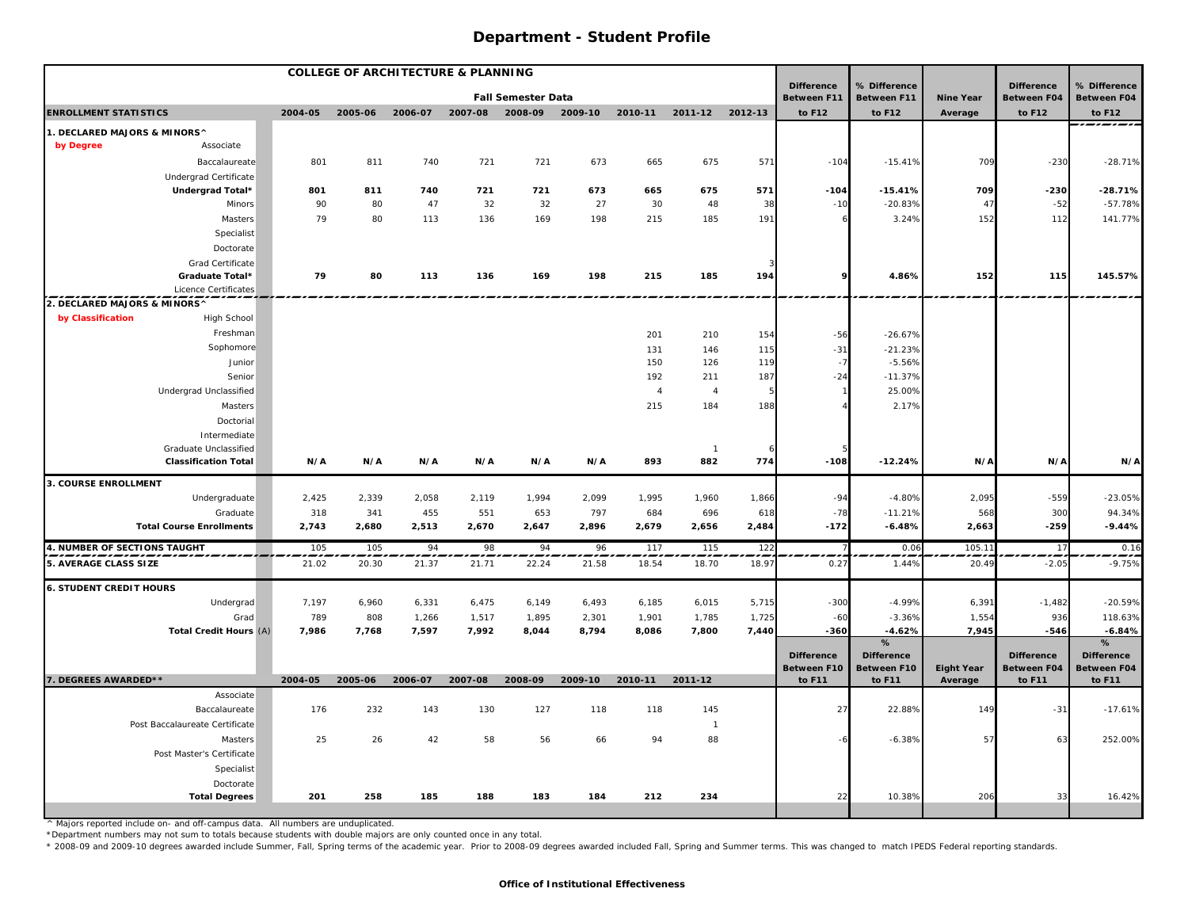| <b>COLLEGE OF ARCHITECTURE &amp; PLANNING</b> |                                                             |         |         |         |         |                           |         |                |                       |       |                                         |                                         |                   |                                         |                                         |
|-----------------------------------------------|-------------------------------------------------------------|---------|---------|---------|---------|---------------------------|---------|----------------|-----------------------|-------|-----------------------------------------|-----------------------------------------|-------------------|-----------------------------------------|-----------------------------------------|
|                                               |                                                             |         |         |         |         | <b>Fall Semester Data</b> |         |                |                       |       | <b>Difference</b><br><b>Between F11</b> | % Difference<br>Between F11             | <b>Nine Year</b>  | <b>Difference</b><br><b>Between F04</b> | % Difference<br><b>Between F04</b>      |
| <b>ENROLLMENT STATISTICS</b>                  |                                                             | 2004-05 | 2005-06 | 2006-07 | 2007-08 | 2008-09                   | 2009-10 | 2010-11        | 2011-12 2012-13       |       | to F12                                  | to F12                                  | Average           | to F12                                  | to F12                                  |
| 1. DECLARED MAJORS & MINORS^                  |                                                             |         |         |         |         |                           |         |                |                       |       |                                         |                                         |                   |                                         | ______                                  |
| by Degree                                     | Associate                                                   |         |         |         |         |                           |         |                |                       |       |                                         |                                         |                   |                                         |                                         |
|                                               | Baccalaureate                                               | 801     | 811     | 740     | 721     | 721                       | 673     | 665            | 675                   | 571   | $-104$                                  | $-15.41%$                               | 709               | $-230$                                  | $-28.71%$                               |
|                                               | Undergrad Certificate                                       |         |         |         |         |                           |         |                |                       |       |                                         |                                         |                   |                                         |                                         |
|                                               | Undergrad Total*                                            | 801     | 811     | 740     | 721     | 721                       | 673     | 665            | 675                   | 571   | $-104$                                  | $-15.41%$                               | 709               | $-230$                                  | $-28.71%$                               |
|                                               | Minors                                                      | 90      | 80      | 47      | 32      | 32                        | 27      | 30             | 48                    | 38    | $-10$                                   | $-20.83%$                               | 47                | $-52$                                   | $-57.78%$                               |
|                                               | Masters                                                     | 79      | 80      | 113     | 136     | 169                       | 198     | 215            | 185                   | 191   |                                         | 3.24%                                   | 152               | 112                                     | 141.77%                                 |
|                                               | Specialist                                                  |         |         |         |         |                           |         |                |                       |       |                                         |                                         |                   |                                         |                                         |
|                                               | Doctorate                                                   |         |         |         |         |                           |         |                |                       |       |                                         |                                         |                   |                                         |                                         |
|                                               | Grad Certificate<br>Graduate Total*                         | 79      | 80      | 113     | 136     | 169                       | 198     | 215            | 185                   | 194   | 9                                       | 4.86%                                   | 152               | 115                                     | 145.57%                                 |
|                                               | Licence Certificates                                        |         |         |         |         |                           |         |                |                       |       |                                         |                                         |                   |                                         |                                         |
| 2. DECLARED MAJORS & MINORS^                  |                                                             |         |         |         |         |                           |         |                |                       | ----  |                                         |                                         |                   |                                         |                                         |
| by Classification                             | High School                                                 |         |         |         |         |                           |         |                |                       |       |                                         |                                         |                   |                                         |                                         |
|                                               | Freshman                                                    |         |         |         |         |                           |         | 201            | 210                   | 154   | $-56$                                   | $-26.67%$                               |                   |                                         |                                         |
|                                               | Sophomore                                                   |         |         |         |         |                           |         | 131            | 146                   | 115   | $-31$                                   | $-21.23%$                               |                   |                                         |                                         |
|                                               | Junior                                                      |         |         |         |         |                           |         | 150            | 126                   | 119   | $-7$                                    | $-5.56%$                                |                   |                                         |                                         |
|                                               | Senior                                                      |         |         |         |         |                           |         | 192            | 211                   | 187   | $-24$                                   | $-11.37%$                               |                   |                                         |                                         |
|                                               | Undergrad Unclassified                                      |         |         |         |         |                           |         | $\overline{4}$ | $\overline{4}$        |       |                                         | 25.00%                                  |                   |                                         |                                         |
|                                               | Masters                                                     |         |         |         |         |                           |         | 215            | 184                   | 188   |                                         | 2.17%                                   |                   |                                         |                                         |
|                                               | Doctorial                                                   |         |         |         |         |                           |         |                |                       |       |                                         |                                         |                   |                                         |                                         |
|                                               | Intermediate                                                |         |         |         |         |                           |         |                |                       |       |                                         |                                         |                   |                                         |                                         |
|                                               | <b>Graduate Unclassified</b><br><b>Classification Total</b> | N/A     | N/A     | N/A     | N/A     | N/A                       | N/A     | 893            | $\overline{1}$<br>882 | 774   | $-108$                                  | $-12.24%$                               | N/A               | N/A                                     | N/A                                     |
|                                               |                                                             |         |         |         |         |                           |         |                |                       |       |                                         |                                         |                   |                                         |                                         |
| <b>3. COURSE ENROLLMENT</b>                   |                                                             |         |         |         |         |                           |         |                |                       |       |                                         |                                         |                   |                                         |                                         |
|                                               | Undergraduate                                               | 2,425   | 2,339   | 2,058   | 2,119   | 1,994                     | 2,099   | 1,995          | 1,960                 | 1,866 | $-94$                                   | $-4.80%$                                | 2,095             | $-559$                                  | $-23.05%$                               |
|                                               | Graduate                                                    | 318     | 341     | 455     | 551     | 653                       | 797     | 684            | 696                   | 618   | $-78$                                   | $-11.21%$                               | 568               | 300                                     | 94.34%                                  |
|                                               | <b>Total Course Enrollments</b>                             | 2,743   | 2,680   | 2,513   | 2,670   | 2,647                     | 2,896   | 2,679          | 2,656                 | 2,484 | $-172$                                  | $-6.48%$                                | 2,663             | $-259$                                  | $-9.44%$                                |
| 4. NUMBER OF SECTIONS TAUGHT                  |                                                             | 105     | 105     | 94      | 98      | 94                        | 96      | 117            | 115                   | 122   |                                         | 0.06                                    | 105.11            | 17                                      | 0.16                                    |
| 5. AVERAGE CLASS SIZE                         |                                                             | 21.02   | 20.30   | 21.37   | 21.71   | 22.24                     | 21.58   | 18.54          | 18.70                 | 18.97 | 0.27                                    | 1.44%                                   | 20.49             | $-2.05$                                 | $-9.75%$                                |
| <b>6. STUDENT CREDIT HOURS</b>                |                                                             |         |         |         |         |                           |         |                |                       |       |                                         |                                         |                   |                                         |                                         |
|                                               | Undergrad                                                   | 7,197   | 6,960   | 6,331   | 6,475   | 6,149                     | 6,493   | 6,185          | 6,015                 | 5,715 | $-300$                                  | $-4.99%$                                | 6,391             | $-1,482$                                | $-20.59%$                               |
|                                               | Grad                                                        | 789     | 808     | 1,266   | 1,517   | 1,895                     | 2,301   | 1,901          | 1,785                 | 1,725 | $-60$                                   | $-3.36%$                                | 1,554             | 936                                     | 118.63%                                 |
|                                               | Total Credit Hours (A)                                      | 7,986   | 7,768   | 7,597   | 7,992   | 8,044                     | 8,794   | 8,086          | 7,800                 | 7,440 | $-360$                                  | $-4.62%$                                | 7,945             | $-546$                                  | $-6.84%$                                |
|                                               |                                                             |         |         |         |         |                           |         |                |                       |       |                                         | $\%$                                    |                   |                                         | %                                       |
|                                               |                                                             |         |         |         |         |                           |         |                |                       |       | <b>Difference</b><br>Between F10        | <b>Difference</b><br><b>Between F10</b> | <b>Eight Year</b> | <b>Difference</b><br><b>Between F04</b> | <b>Difference</b><br><b>Between F04</b> |
| 7. DEGREES AWARDED**                          |                                                             | 2004-05 | 2005-06 | 2006-07 | 2007-08 | 2008-09                   | 2009-10 | 2010-11        | 2011-12               |       | to F11                                  | to F11                                  | Average           | to F11                                  | to F11                                  |
|                                               | Associate                                                   |         |         |         |         |                           |         |                |                       |       |                                         |                                         |                   |                                         |                                         |
|                                               | Baccalaureate                                               | 176     | 232     | 143     | 130     | 127                       | 118     | 118            | 145                   |       | 27                                      | 22.88%                                  | 149               | $-31$                                   | $-17.61%$                               |
|                                               | Post Baccalaureate Certificate                              |         |         |         |         |                           |         |                | $\overline{1}$        |       |                                         |                                         |                   |                                         |                                         |
|                                               | Masters                                                     | 25      | 26      | 42      | 58      | 56                        | 66      | 94             | 88                    |       |                                         | $-6.38%$                                | 57                | 63                                      | 252.00%                                 |
|                                               | Post Master's Certificate                                   |         |         |         |         |                           |         |                |                       |       |                                         |                                         |                   |                                         |                                         |
|                                               | Specialist                                                  |         |         |         |         |                           |         |                |                       |       |                                         |                                         |                   |                                         |                                         |
|                                               | Doctorate                                                   |         |         |         |         |                           |         |                |                       |       |                                         |                                         |                   |                                         |                                         |
|                                               | <b>Total Degrees</b>                                        | 201     | 258     | 185     | 188     | 183                       | 184     | 212            | 234                   |       | 22                                      | 10.38%                                  | 206               | 33                                      | 16.42%                                  |

^ Majors reported include on- and off-campus data. All numbers are unduplicated.

\*Department numbers may not sum to totals because students with double majors are only counted once in any total.

\* 2008-09 and 2009-10 degrees awarded include Summer, Fall, Spring terms of the academic year. Prior to 2008-09 degrees awarded included Fall, Spring and Summer terms. This was changed to match IPEDS Federal reporting stan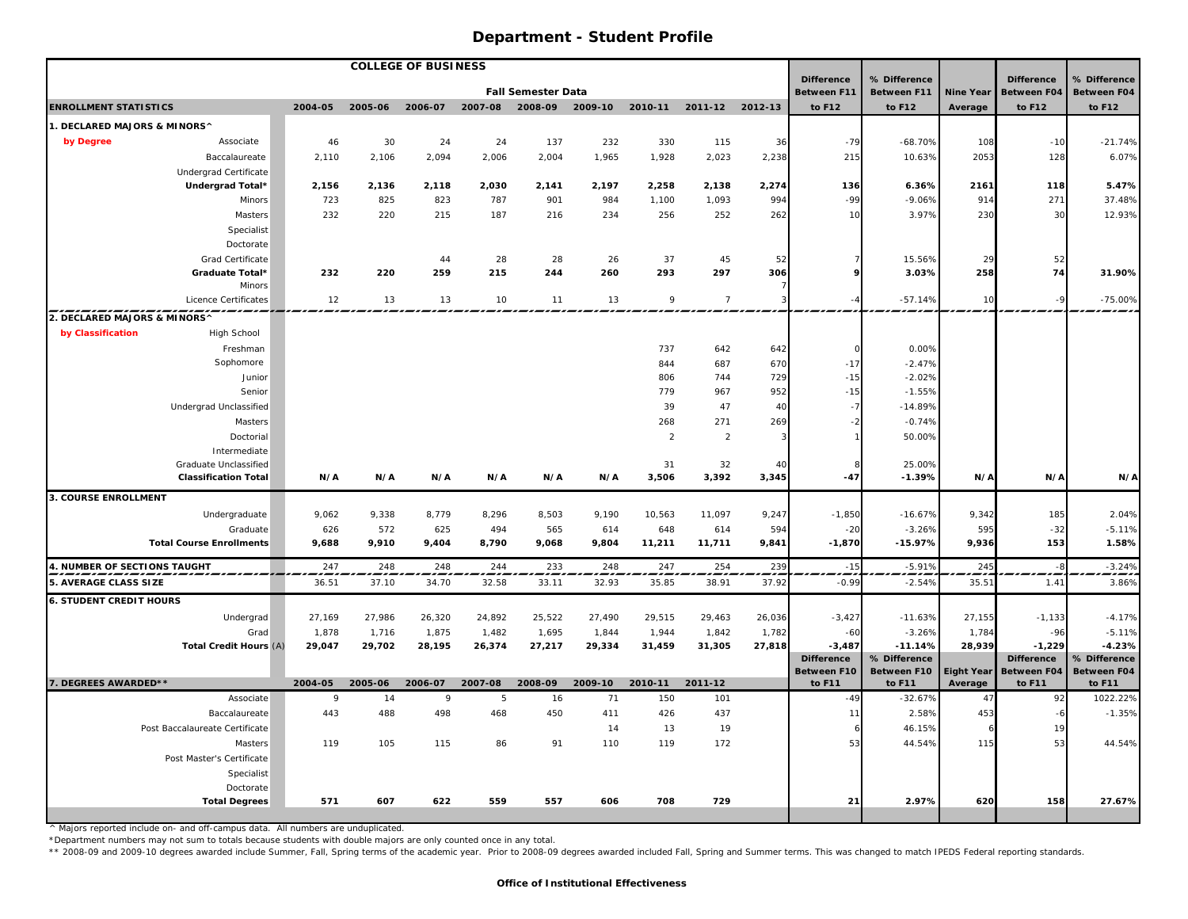|                                     |                                   |              |         | <b>COLLEGE OF BUSINESS</b> |         |                           |         |                |                 |        |                                  |                                    |                  |                                         |                                    |
|-------------------------------------|-----------------------------------|--------------|---------|----------------------------|---------|---------------------------|---------|----------------|-----------------|--------|----------------------------------|------------------------------------|------------------|-----------------------------------------|------------------------------------|
|                                     |                                   |              |         |                            |         | <b>Fall Semester Data</b> |         |                |                 |        | <b>Difference</b><br>Between F11 | % Difference<br><b>Between F11</b> | <b>Nine Year</b> | <b>Difference</b><br><b>Between F04</b> | % Difference<br><b>Between F04</b> |
| <b>ENROLLMENT STATISTICS</b>        |                                   | 2004-05      | 2005-06 | 2006-07                    | 2007-08 | 2008-09                   | 2009-10 | 2010-11        | 2011-12 2012-13 |        | to F12                           | to F12                             | Average          | to F12                                  | to F12                             |
| 1. DECLARED MAJORS & MINORS^        |                                   |              |         |                            |         |                           |         |                |                 |        |                                  |                                    |                  |                                         |                                    |
| by Degree                           | Associate                         | 46           | 30      | 24                         | 24      | 137                       | 232     | 330            | 115             | 36     | $-79$                            | $-68.70%$                          | 108              | $-10$                                   | $-21.74%$                          |
|                                     | Baccalaureate                     | 2,110        | 2,106   | 2,094                      | 2,006   | 2,004                     | 1,965   | 1,928          | 2,023           | 2,238  | 215                              | 10.63%                             | 2053             | 128                                     | 6.07%                              |
|                                     | Undergrad Certificate             |              |         |                            |         |                           |         |                |                 |        |                                  |                                    |                  |                                         |                                    |
|                                     | Undergrad Total*                  | 2,156        | 2,136   | 2,118                      | 2,030   | 2,141                     | 2,197   | 2,258          | 2,138           | 2,274  | 136                              | 6.36%                              | 2161             | 118                                     | 5.47%                              |
|                                     | Minors                            | 723          | 825     | 823                        | 787     | 901                       | 984     | 1,100          | 1,093           | 994    | $-99$                            | $-9.06%$                           | 914              | 271                                     | 37.48%                             |
|                                     | Masters                           | 232          | 220     | 215                        | 187     | 216                       | 234     | 256            | 252             | 262    | 10                               | 3.97%                              | 230              | 30                                      | 12.93%                             |
|                                     | Specialist                        |              |         |                            |         |                           |         |                |                 |        |                                  |                                    |                  |                                         |                                    |
|                                     | Doctorate                         |              |         |                            |         |                           |         |                |                 |        |                                  |                                    |                  |                                         |                                    |
|                                     | Grad Certificate                  |              |         | 44                         | 28      | 28                        | 26      | 37             | 45              | 52     |                                  | 15.56%                             | 29               | 52                                      |                                    |
|                                     | Graduate Total*                   | 232          | 220     | 259                        | 215     | 244                       | 260     | 293            | 297             | 306    |                                  | 3.03%                              | 258              | 74                                      | 31.90%                             |
|                                     | Minors                            |              |         |                            |         |                           |         |                |                 |        |                                  |                                    |                  |                                         |                                    |
|                                     | Licence Certificates              | 12           | 13      | 13                         | 10      | 11                        | 13      | 9              | $\overline{7}$  |        |                                  | $-57.14%$                          | 10               | $-9$                                    | $-75.00%$                          |
| 2. DECLARED MAJORS & MINORS^        |                                   |              |         |                            |         |                           |         |                |                 |        |                                  |                                    |                  |                                         |                                    |
| by Classification                   | High School                       |              |         |                            |         |                           |         |                |                 |        |                                  |                                    |                  |                                         |                                    |
|                                     | Freshman                          |              |         |                            |         |                           |         | 737            | 642             | 642    |                                  | 0.00%                              |                  |                                         |                                    |
|                                     | Sophomore                         |              |         |                            |         |                           |         | 844            | 687             | 670    | $-17$                            | $-2.47%$                           |                  |                                         |                                    |
|                                     | Junior                            |              |         |                            |         |                           |         | 806            | 744             | 729    | $-15$                            | $-2.02%$                           |                  |                                         |                                    |
|                                     | Senior                            |              |         |                            |         |                           |         | 779            | 967             | 952    | $-15$                            | $-1.55%$                           |                  |                                         |                                    |
|                                     | Undergrad Unclassified            |              |         |                            |         |                           |         | 39             | 47              | 40     |                                  | $-14.89%$                          |                  |                                         |                                    |
|                                     | Masters                           |              |         |                            |         |                           |         | 268            | 271             | 269    |                                  | $-0.74%$                           |                  |                                         |                                    |
|                                     | Doctorial                         |              |         |                            |         |                           |         | $\overline{2}$ | $\overline{2}$  |        |                                  | 50.00%                             |                  |                                         |                                    |
|                                     | Intermediate                      |              |         |                            |         |                           |         |                |                 |        |                                  |                                    |                  |                                         |                                    |
|                                     | <b>Graduate Unclassified</b>      |              |         |                            |         |                           |         | 31             | 32              | 40     |                                  | 25.00%                             |                  |                                         |                                    |
|                                     | <b>Classification Total</b>       | N/A          | N/A     | N/A                        | N/A     | N/A                       | N/A     | 3,506          | 3,392           | 3,345  | $-47$                            | $-1.39%$                           | N/A              | N/A                                     | N/A                                |
| 3. COURSE ENROLLMENT                |                                   |              |         |                            |         |                           |         |                |                 |        |                                  |                                    |                  |                                         |                                    |
|                                     | Undergraduate                     | 9,062        | 9,338   | 8,779                      | 8,296   | 8,503                     | 9,190   | 10,563         | 11,097          | 9,247  | $-1,850$                         | $-16.67%$                          | 9,342            | 185                                     | 2.04%                              |
|                                     | Graduate                          | 626          | 572     | 625                        | 494     | 565                       | 614     | 648            | 614             | 594    | $-20$                            | $-3.26%$                           | 595              | $-32$                                   | $-5.11%$                           |
|                                     | <b>Total Course Enrollments</b>   | 9,688        | 9,910   | 9,404                      | 8,790   | 9,068                     | 9,804   | 11,211         | 11,711          | 9,841  | $-1,870$                         | $-15.97%$                          | 9,936            | 153                                     | 1.58%                              |
| <b>4. NUMBER OF SECTIONS TAUGHT</b> |                                   | 247          | 248     | 248                        | 244     | 233                       | 248     | 247            | 254             | 239    | $-15$                            | $-5.91%$                           | 245              |                                         | $-3.24%$                           |
| 5. AVERAGE CLASS SIZE               |                                   | 36.51        | 37.10   | 34.70                      | 32.58   | 33.11                     | 32.93   | 35.85          | 38.91           | 37.92  | $-0.99$                          | $-2.54%$                           | 35.51            | 1.41                                    | 3.86%                              |
| <b>6. STUDENT CREDIT HOURS</b>      |                                   |              |         |                            |         |                           |         |                |                 |        |                                  |                                    |                  |                                         |                                    |
|                                     | Undergrad                         | 27,169       | 27,986  | 26,320                     | 24,892  | 25,522                    | 27,490  | 29,515         | 29,463          | 26,036 | $-3,427$                         | $-11.63%$                          | 27,155           | $-1,133$                                | $-4.17%$                           |
|                                     | Grad                              | 1,878        | 1,716   | 1,875                      | 1,482   | 1,695                     | 1,844   | 1,944          | 1,842           | 1,782  | $-6C$                            | $-3.26%$                           | 1,784            | $-96$                                   | $-5.11%$                           |
|                                     | Total Credit Hours (A)            | 29,047       | 29,702  | 28,195                     | 26,374  | 27,217                    | 29,334  | 31,459         | 31,305          | 27,818 | $-3,487$                         | $-11.14%$                          | 28,939           | $-1,229$                                | $-4.23%$                           |
|                                     |                                   |              |         |                            |         |                           |         |                |                 |        | <b>Difference</b>                | % Difference                       |                  | <b>Difference</b>                       | % Difference                       |
|                                     |                                   |              |         |                            |         |                           |         |                |                 |        | Between F10                      | Between F10                        |                  | Eight Year Between F04                  | <b>Between F04</b>                 |
| 7. DEGREES AWARDED**                |                                   | 2004-05      | 2005-06 | 2006-07                    | 2007-08 | 2008-09                   | 2009-10 | 2010-11        | 2011-12         |        | to F11                           | to F11                             | Average          | to F11                                  | to F11                             |
|                                     | Associate                         | $\mathbf{Q}$ | 14      | 9                          | 5       | 16                        | 71      | 150            | 101             |        | $-49$                            | $-32.67%$                          | 47               | 92                                      | 1022.22%                           |
|                                     | Baccalaureate                     | 443          | 488     | 498                        | 468     | 450                       | 411     | 426            | 437             |        | 11                               | 2.58%                              | 453              | $-6$                                    | $-1.35%$                           |
|                                     | Post Baccalaureate Certificate    |              |         |                            |         |                           | 14      | 13             | 19              |        |                                  | 46.15%                             |                  | 19                                      |                                    |
|                                     | Masters                           | 119          | 105     | 115                        | 86      | 91                        | 110     | 119            | 172             |        | 53                               | 44.54%                             | 115              | 53                                      | 44.54%                             |
|                                     | Post Master's Certificate         |              |         |                            |         |                           |         |                |                 |        |                                  |                                    |                  |                                         |                                    |
|                                     | Specialist                        |              |         |                            |         |                           |         |                |                 |        |                                  |                                    |                  |                                         |                                    |
|                                     | Doctorate<br><b>Total Degrees</b> | 571          | 607     | 622                        | 559     | 557                       | 606     | 708            | 729             |        | 21                               | 2.97%                              | 620              | 158                                     | 27.67%                             |
|                                     |                                   |              |         |                            |         |                           |         |                |                 |        |                                  |                                    |                  |                                         |                                    |

^ Majors reported include on- and off-campus data. All numbers are unduplicated.

\*Department numbers may not sum to totals because students with double majors are only counted once in any total.

\*\* 2008-09 and 2009-10 degrees awarded include Summer, Fall, Spring terms of the academic year. Prior to 2008-09 degrees awarded included Fall, Spring and Summer terms. This was changed to match IPEDS Federal reporting sta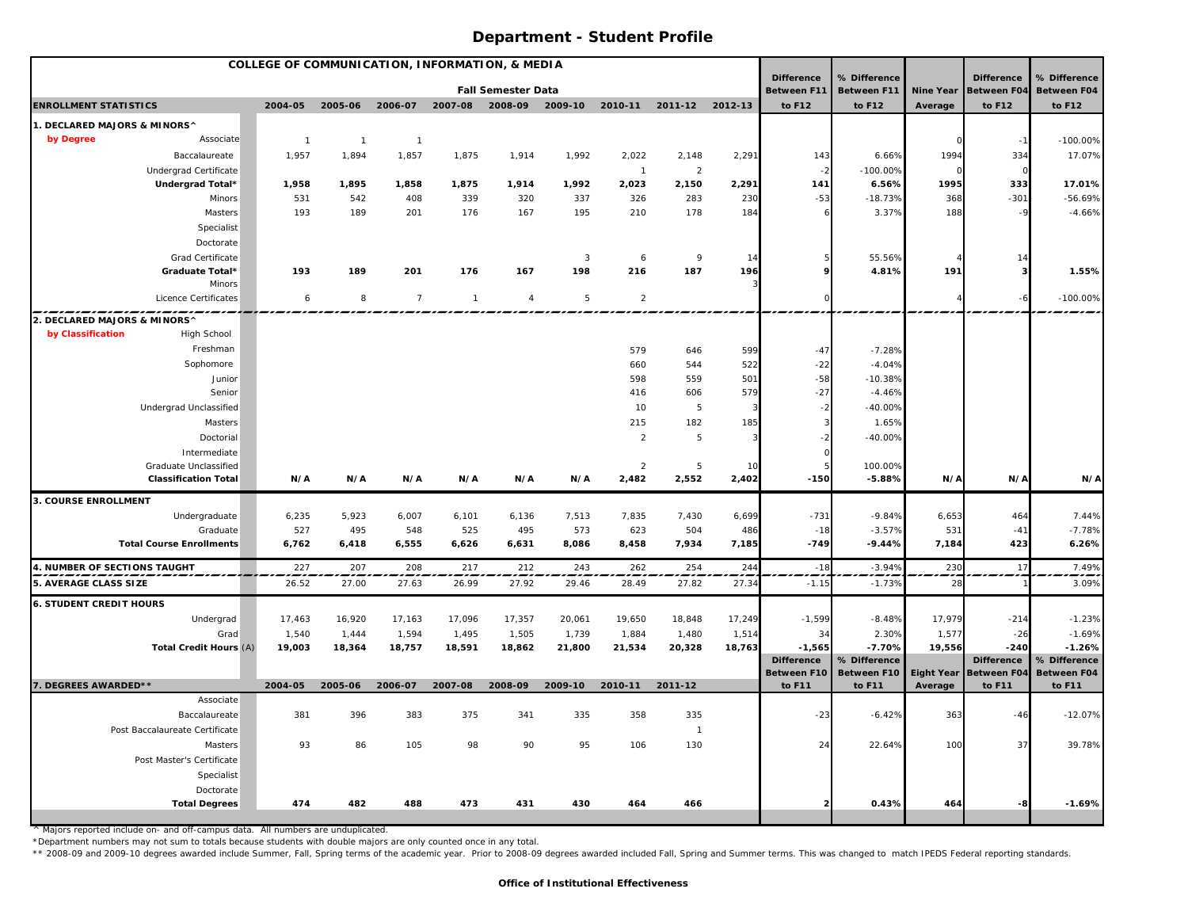| <b>COLLEGE OF COMMUNICATION, INFORMATION, &amp; MEDIA</b> |                                                      |                |                |                |                 |                           |                |                         |                 |             |                                         |                             |                  |                                         |                                    |
|-----------------------------------------------------------|------------------------------------------------------|----------------|----------------|----------------|-----------------|---------------------------|----------------|-------------------------|-----------------|-------------|-----------------------------------------|-----------------------------|------------------|-----------------------------------------|------------------------------------|
|                                                           |                                                      |                |                |                |                 | <b>Fall Semester Data</b> |                |                         |                 |             | <b>Difference</b><br><b>Between F11</b> | % Difference<br>Between F11 | <b>Nine Year</b> | <b>Difference</b><br><b>Between F04</b> | % Difference<br><b>Between F04</b> |
| <b>ENROLLMENT STATISTICS</b>                              |                                                      | 2004-05        | 2005-06        | 2006-07        | 2007-08 2008-09 |                           | 2009-10        | 2010-11                 | 2011-12 2012-13 |             | to F12                                  | to F12                      | Average          | to F12                                  | to F12                             |
| 1. DECLARED MAJORS & MINORS^                              |                                                      |                |                |                |                 |                           |                |                         |                 |             |                                         |                             |                  |                                         |                                    |
| by Degree                                                 | Associate                                            | $\overline{1}$ | $\overline{1}$ | $\overline{1}$ |                 |                           |                |                         |                 |             |                                         |                             |                  |                                         | $-100.00\%$                        |
|                                                           | Baccalaureate                                        | 1,957          | 1,894          | 1,857          | 1,875           | 1,914                     | 1,992          | 2,022                   | 2,148           | 2,291       | 143                                     | 6.66%                       | 1994             | 334                                     | 17.07%                             |
|                                                           | <b>Undergrad Certificate</b>                         |                |                |                |                 |                           |                | $\overline{1}$          | $\overline{2}$  |             |                                         | $-100.00%$                  | $\Omega$         | $\Omega$                                |                                    |
|                                                           | Undergrad Total*                                     | 1,958          | 1,895          | 1,858          | 1,875           | 1,914                     | 1,992          | 2,023                   | 2,150           | 2,291       | 141                                     | 6.56%                       | 1995             | 333                                     | 17.01%                             |
|                                                           | Minors                                               | 531            | 542            | 408            | 339             | 320                       | 337            | 326                     | 283             | 230         | $-53$                                   | $-18.73%$                   | 368              | $-301$                                  | $-56.69%$                          |
|                                                           | Masters                                              | 193            | 189            | 201            | 176             | 167                       | 195            | 210                     | 178             | 184         |                                         | 3.37%                       | 188              | $-9$                                    | $-4.66%$                           |
|                                                           | Specialist                                           |                |                |                |                 |                           |                |                         |                 |             |                                         |                             |                  |                                         |                                    |
|                                                           | Doctorate                                            |                |                |                |                 |                           |                |                         |                 |             |                                         |                             |                  |                                         |                                    |
|                                                           | Grad Certificate                                     |                |                |                |                 |                           | $\overline{3}$ | 6                       | 9               | 14          |                                         | 55.56%                      |                  |                                         |                                    |
|                                                           | Graduate Total*                                      | 193            | 189            | 201            | 176             | 167                       | 198            | 216                     | 187             | 196         |                                         | 4.81%                       | 191              |                                         | 1.55%                              |
|                                                           | <b>Minors</b>                                        |                |                |                |                 |                           |                |                         |                 |             |                                         |                             |                  |                                         |                                    |
|                                                           | Licence Certificates                                 | 6              | 8              | $\overline{7}$ | $\overline{1}$  | $\overline{4}$            | 5              | $\overline{2}$          |                 |             |                                         |                             |                  |                                         | $-100.00\%$                        |
| 2. DECLARED MAJORS & MINORS^                              |                                                      |                |                |                |                 |                           |                |                         |                 |             |                                         |                             |                  |                                         |                                    |
| by Classification                                         | High School                                          |                |                |                |                 |                           |                |                         |                 |             |                                         |                             |                  |                                         |                                    |
|                                                           | Freshman                                             |                |                |                |                 |                           |                | 579                     | 646             | 599         | $-47$                                   | $-7.28%$                    |                  |                                         |                                    |
|                                                           | Sophomore                                            |                |                |                |                 |                           |                | 660                     | 544             | 522         | $-22$                                   | $-4.04%$                    |                  |                                         |                                    |
|                                                           | Junior                                               |                |                |                |                 |                           |                | 598                     | 559             | 501         | $-58$                                   | $-10.38%$                   |                  |                                         |                                    |
|                                                           | Senior                                               |                |                |                |                 |                           |                | 416                     | 606             | 579         | $-27$                                   | $-4.46%$                    |                  |                                         |                                    |
|                                                           | Undergrad Unclassified                               |                |                |                |                 |                           |                | 10                      | $\overline{5}$  | 3           |                                         | $-40.00%$                   |                  |                                         |                                    |
|                                                           | Masters                                              |                |                |                |                 |                           |                | 215                     | 182             | 185         |                                         | 1.65%                       |                  |                                         |                                    |
|                                                           | Doctorial                                            |                |                |                |                 |                           |                | $\overline{2}$          | 5               | 3           |                                         | $-40.00%$                   |                  |                                         |                                    |
|                                                           | Intermediate                                         |                |                |                |                 |                           |                |                         |                 |             |                                         |                             |                  |                                         |                                    |
|                                                           | Graduate Unclassified<br><b>Classification Total</b> | N/A            | N/A            | N/A            | N/A             | N/A                       | N/A            | $\overline{2}$<br>2,482 | 5<br>2,552      | 10<br>2,402 | $-150$                                  | 100.00%<br>$-5.88%$         | N/A              | N/A                                     | N/A                                |
|                                                           |                                                      |                |                |                |                 |                           |                |                         |                 |             |                                         |                             |                  |                                         |                                    |
| 3. COURSE ENROLLMENT                                      |                                                      |                |                |                |                 |                           |                |                         |                 |             |                                         |                             |                  |                                         |                                    |
|                                                           | Undergraduate                                        | 6,235          | 5,923          | 6,007          | 6,101           | 6,136                     | 7,513          | 7,835                   | 7,430           | 6,699       | $-731$                                  | $-9.84%$                    | 6,653            | 464                                     | 7.44%                              |
|                                                           | Graduate                                             | 527            | 495            | 548            | 525             | 495                       | 573            | 623                     | 504             | 486         | $-18$<br>$-749$                         | $-3.57%$<br>$-9.44%$        | 531              | $-41$                                   | $-7.78%$                           |
|                                                           | <b>Total Course Enrollments</b>                      | 6,762          | 6,418          | 6,555          | 6,626           | 6,631                     | 8,086          | 8,458                   | 7,934           | 7,185       |                                         |                             | 7,184            | 423                                     | 6.26%                              |
| 4. NUMBER OF SECTIONS TAUGHT                              |                                                      | 227            | 207            | 208            | 217             | 212                       | 243            | 262                     | 254             | 244         | $-18$                                   | $-3.949$                    | 230<br>--        | 17                                      | 7.49%                              |
| 5. AVERAGE CLASS SIZE                                     |                                                      | 26.52          | 27.00          | 27.63          | 26.99           | 27.92                     | 29.46          | 28.49                   | 27.82           | 27.34       | $-1.15$                                 | $-1.73%$                    | 28               |                                         | 3.09%                              |
| <b>6. STUDENT CREDIT HOURS</b>                            |                                                      |                |                |                |                 |                           |                |                         |                 |             |                                         |                             |                  |                                         |                                    |
|                                                           | Undergrad                                            | 17,463         | 16,920         | 17,163         | 17,096          | 17,357                    | 20,061         | 19,650                  | 18,848          | 17,249      | $-1,599$                                | $-8.48%$                    | 17,979           | $-214$                                  | $-1.23%$                           |
|                                                           | Grad                                                 | 1,540          | 1,444          | 1,594          | 1,495           | 1,505                     | 1,739          | 1,884                   | 1,480           | 1,514       | 34                                      | 2.30%                       | 1,577            | $-26$                                   | $-1.69%$                           |
|                                                           | Total Credit Hours (A)                               | 19,003         | 18,364         | 18,757         | 18,591          | 18,862                    | 21,800         | 21,534                  | 20,328          | 18,763      | $-1,565$                                | $-7.70%$                    | 19,556           | $-240$                                  | $-1.26%$                           |
|                                                           |                                                      |                |                |                |                 |                           |                |                         |                 |             | <b>Difference</b>                       | % Difference                |                  | <b>Difference</b>                       | % Difference                       |
| 7. DEGREES AWARDED**                                      |                                                      | 2004-05        | 2005-06        | 2006-07        | 2007-08         | 2008-09                   | 2009-10        | 2010-11                 | 2011-12         |             | <b>Between F10</b><br>to F11            | Between F10<br>to F11       | Average          | Eight Year Between F04<br>to F11        | <b>Between F04</b><br>to F11       |
|                                                           | Associate                                            |                |                |                |                 |                           |                |                         |                 |             |                                         |                             |                  |                                         |                                    |
|                                                           | Baccalaureate                                        | 381            | 396            | 383            | 375             | 341                       | 335            | 358                     | 335             |             | $-23$                                   | $-6.42%$                    | 363              | $-46$                                   | $-12.07%$                          |
|                                                           | Post Baccalaureate Certificate                       |                |                |                |                 |                           |                |                         | $\overline{1}$  |             |                                         |                             |                  |                                         |                                    |
|                                                           | Masters                                              | 93             | 86             | 105            | 98              | 90                        | 95             | 106                     | 130             |             | 24                                      | 22.64%                      | 100              | 37                                      | 39.78%                             |
|                                                           | Post Master's Certificate                            |                |                |                |                 |                           |                |                         |                 |             |                                         |                             |                  |                                         |                                    |
|                                                           | Specialist                                           |                |                |                |                 |                           |                |                         |                 |             |                                         |                             |                  |                                         |                                    |
|                                                           | Doctorate                                            |                |                |                |                 |                           |                |                         |                 |             |                                         |                             |                  |                                         |                                    |
|                                                           | <b>Total Degrees</b>                                 | 474            | 482            | 488            | 473             | 431                       | 430            | 464                     | 466             |             |                                         | 0.43%                       | 464              | -8                                      | $-1.69%$                           |
|                                                           |                                                      |                |                |                |                 |                           |                |                         |                 |             |                                         |                             |                  |                                         |                                    |

^ Majors reported include on- and off-campus data. All numbers are unduplicated.

\*Department numbers may not sum to totals because students with double majors are only counted once in any total.

\*\* 2008-09 and 2009-10 degrees awarded include Summer, Fall, Spring terms of the academic year. Prior to 2008-09 degrees awarded included Fall, Spring and Summer terms. This was changed to match IPEDS Federal reporting sta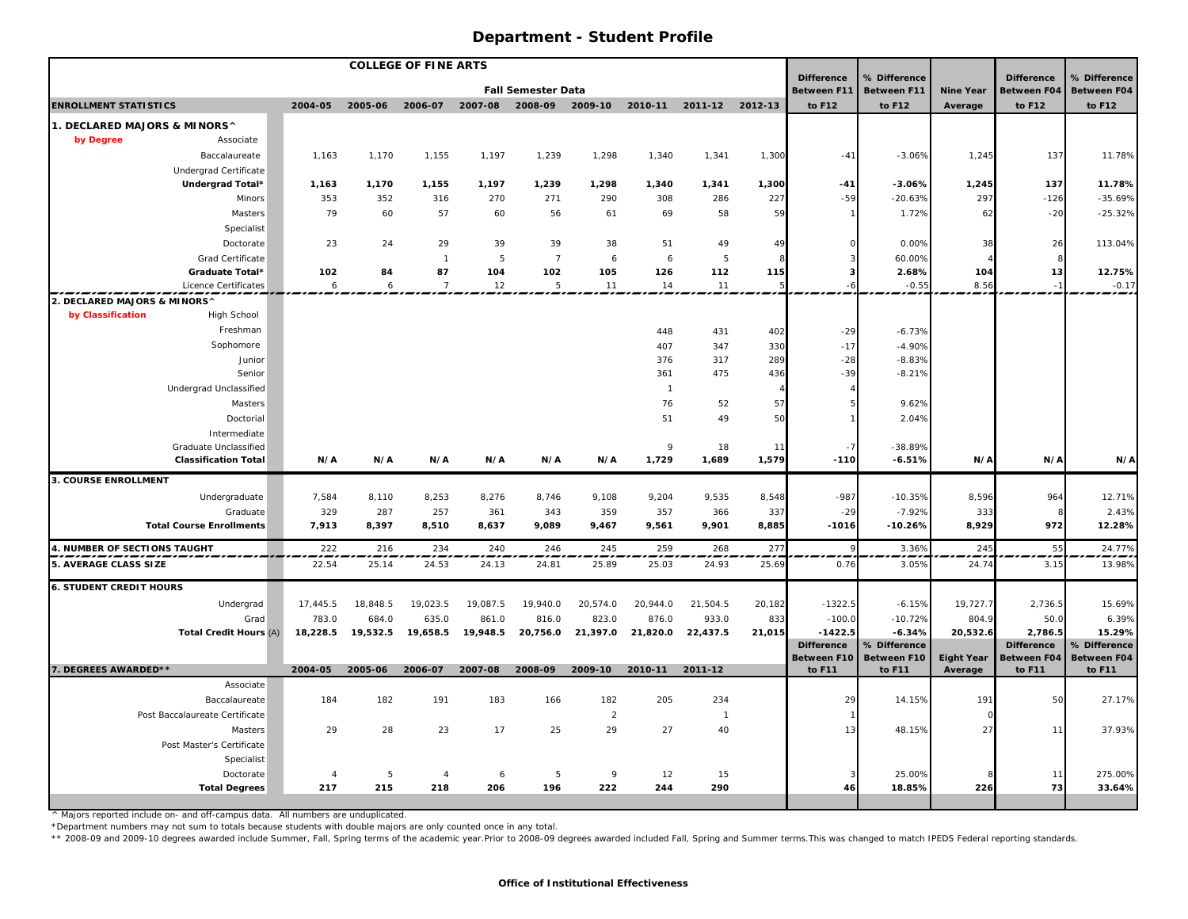| <b>COLLEGE OF FINE ARTS</b>    |                                 |                |                   |                |          |                           |              |                                                       |                |                |                                  |                                    |                   |                                         |                                    |
|--------------------------------|---------------------------------|----------------|-------------------|----------------|----------|---------------------------|--------------|-------------------------------------------------------|----------------|----------------|----------------------------------|------------------------------------|-------------------|-----------------------------------------|------------------------------------|
|                                |                                 |                |                   |                |          | <b>Fall Semester Data</b> |              |                                                       |                |                | <b>Difference</b><br>Between F11 | % Difference<br><b>Between F11</b> | <b>Nine Year</b>  | <b>Difference</b><br><b>Between F04</b> | % Difference<br><b>Between F04</b> |
| <b>ENROLLMENT STATISTICS</b>   |                                 | 2004-05        | 2005-06           | 2006-07        | 2007-08  | 2008-09                   | 2009-10      | 2010-11                                               | 2011-12        | 2012-13        | to F12                           | to F12                             | Average           | to F12                                  | to F12                             |
| 1. DECLARED MAJORS & MINORS^   |                                 |                |                   |                |          |                           |              |                                                       |                |                |                                  |                                    |                   |                                         |                                    |
| by Degree                      | Associate                       |                |                   |                |          |                           |              |                                                       |                |                |                                  |                                    |                   |                                         |                                    |
|                                | Baccalaureate                   | 1,163          | 1,170             | 1,155          | 1,197    | 1,239                     | 1,298        | 1,340                                                 | 1,341          | 1,300          | $-41$                            | $-3.06%$                           | 1,245             | 137                                     | 11.78%                             |
|                                | Undergrad Certificate           |                |                   |                |          |                           |              |                                                       |                |                |                                  |                                    |                   |                                         |                                    |
|                                | Undergrad Total*                | 1,163          | 1,170             | 1,155          | 1,197    | 1,239                     | 1,298        | 1,340                                                 | 1,341          | 1,300          | $-41$                            | $-3.06%$                           | 1,245             | 137                                     | 11.78%                             |
|                                | Minors                          | 353            | 352               | 316            | 270      | 271                       | 290          | 308                                                   | 286            | 227            | $-59$                            | $-20.63%$                          | 297               | $-126$                                  | $-35.69%$                          |
|                                | Masters                         | 79             | 60                | 57             | 60       | 56                        | 61           | 69                                                    | 58             | 59             |                                  | 1.72%                              | 62                | $-20$                                   | $-25.32%$                          |
|                                | Specialist                      |                |                   |                |          |                           |              |                                                       |                |                |                                  |                                    |                   |                                         |                                    |
|                                | Doctorate                       | 23             | 24                | 29             | 39       | 39                        | 38           | 51                                                    | 49             | 49             |                                  | 0.00%                              | 38                | 26                                      | 113.04%                            |
|                                | Grad Certificate                |                |                   | $\mathbf{1}$   | 5        | $\overline{7}$            | 6            | 6                                                     | 5              | 8              |                                  | 60.00%                             |                   |                                         |                                    |
|                                | Graduate Total*                 | 102            | 84                | 87             | 104      | 102                       | 105          | 126                                                   | 112            | 115            |                                  | 2.68%                              | 104               | 13                                      | 12.75%                             |
|                                | Licence Certificates            | 6              | 6                 | $\overline{7}$ | 12       | 5                         | 11           | 14                                                    | 11             |                |                                  | $-0.55$                            | 8.56              |                                         | $-0.17$                            |
| 2. DECLARED MAJORS & MINORS^   |                                 |                |                   |                |          |                           |              |                                                       |                |                |                                  |                                    |                   |                                         |                                    |
| by Classification              | High School                     |                |                   |                |          |                           |              |                                                       |                |                |                                  |                                    |                   |                                         |                                    |
|                                | Freshman                        |                |                   |                |          |                           |              | 448                                                   | 431            | 402            | $-29$                            | $-6.73%$                           |                   |                                         |                                    |
|                                | Sophomore                       |                |                   |                |          |                           |              | 407                                                   | 347            | 330            | $-17$                            | $-4.90%$                           |                   |                                         |                                    |
|                                | Junior                          |                |                   |                |          |                           |              | 376                                                   | 317            | 289            | $-28$                            | $-8.83%$                           |                   |                                         |                                    |
|                                | Senior                          |                |                   |                |          |                           |              | 361                                                   | 475            | 436            | $-39$                            | $-8.21%$                           |                   |                                         |                                    |
|                                | Undergrad Unclassified          |                |                   |                |          |                           |              | $\overline{1}$                                        |                | $\overline{4}$ |                                  |                                    |                   |                                         |                                    |
|                                | Masters                         |                |                   |                |          |                           |              | 76<br>51                                              | 52<br>49       | 57             |                                  | 9.62%                              |                   |                                         |                                    |
|                                | Doctorial<br>Intermediate       |                |                   |                |          |                           |              |                                                       |                | 50             |                                  | 2.04%                              |                   |                                         |                                    |
|                                | Graduate Unclassified           |                |                   |                |          |                           |              | $\mathbf{Q}$                                          | 18             | 11             |                                  | $-38.89%$                          |                   |                                         |                                    |
|                                | <b>Classification Total</b>     | N/A            | N/A               | N/A            | N/A      | N/A                       | N/A          | 1,729                                                 | 1,689          | 1,579          | $-110$                           | $-6.51%$                           | N/A               | N/A                                     | N/A                                |
| 3. COURSE ENROLLMENT           |                                 |                |                   |                |          |                           |              |                                                       |                |                |                                  |                                    |                   |                                         |                                    |
|                                | Undergraduate                   | 7,584          | 8,110             | 8,253          | 8,276    | 8,746                     | 9,108        | 9,204                                                 | 9,535          | 8,548          | $-987$                           | $-10.35%$                          | 8,596             | 964                                     | 12.71%                             |
|                                | Graduate                        | 329            | 287               | 257            | 361      | 343                       | 359          | 357                                                   | 366            | 337            | $-29$                            | $-7.92%$                           | 333               |                                         | 2.43%                              |
|                                | <b>Total Course Enrollments</b> | 7,913          | 8,397             | 8,510          | 8,637    | 9,089                     | 9,467        | 9,561                                                 | 9,901          | 8,885          | $-1016$                          | $-10.26%$                          | 8,929             | 972                                     | 12.28%                             |
| 4. NUMBER OF SECTIONS TAUGHT   |                                 | 222            | 216               | 234            | 240      | 246                       | 245          | 259                                                   | 268            | 277            |                                  | 3.36%                              | 245               | 55                                      | 24.77%                             |
| 5. AVERAGE CLASS SIZE          |                                 | 22.54          | 25.14             | 24.53          | 24.13    | 24.81                     | 25.89        | 25.03                                                 | 24.93          | 25.69          | 0.76                             | 3.05%                              | 24.74             | 3.15                                    | 13.98%                             |
|                                |                                 |                |                   |                |          |                           |              |                                                       |                |                |                                  |                                    |                   |                                         |                                    |
| <b>6. STUDENT CREDIT HOURS</b> |                                 |                |                   |                |          |                           |              |                                                       |                |                |                                  |                                    |                   |                                         |                                    |
|                                | Undergrad                       | 17,445.5       | 18,848.5          | 19,023.5       | 19,087.5 | 19,940.0                  | 20,574.0     | 20,944.0                                              | 21,504.5       | 20,182         | $-1322.5$                        | $-6.15%$                           | 19,727.7          | 2,736.5                                 | 15.69%                             |
|                                | Grad                            | 783.0          | 684.0             | 635.0          | 861.0    | 816.0                     | 823.0        | 876.0                                                 | 933.0          | 833            | $-100.0$<br>$-1422.5$            | $-10.72%$<br>$-6.34%$              | 804.9             | 50.0                                    | 6.39%                              |
|                                | <b>Total Credit Hours (A)</b>   |                | 18,228.5 19,532.5 |                |          |                           |              | 19,658.5 19,948.5 20,756.0 21,397.0 21,820.0 22,437.5 |                | 21,015         | <b>Difference</b>                | % Difference                       | 20,532.6          | 2,786.5<br><b>Difference</b>            | 15.29%<br>% Difference             |
|                                |                                 |                |                   |                |          |                           |              |                                                       |                |                | <b>Between F10</b>               | Between F10                        | <b>Eight Year</b> | <b>Between F04</b>                      | <b>Between F04</b>                 |
| 7. DEGREES AWARDED**           |                                 | 2004-05        | 2005-06           | 2006-07        | 2007-08  | 2008-09                   | 2009-10      | 2010-11                                               | 2011-12        |                | to F11                           | to F11                             | Average           | to F11                                  | to F11                             |
|                                | Associate                       |                |                   |                |          |                           |              |                                                       |                |                |                                  |                                    |                   |                                         |                                    |
|                                | Baccalaureate                   | 184            | 182               | 191            | 183      | 166                       | 182          | 205                                                   | 234            |                | 29                               | 14.15%                             | 191               | 50                                      | 27.17%                             |
|                                | Post Baccalaureate Certificate  |                |                   |                |          |                           | $\mathbf{2}$ |                                                       | $\overline{1}$ |                |                                  |                                    |                   |                                         |                                    |
|                                | Masters                         | 29             | 28                | 23             | 17       | 25                        | 29           | 27                                                    | 40             |                | 13                               | 48.15%                             | 27                | 11                                      | 37.93%                             |
|                                | Post Master's Certificate       |                |                   |                |          |                           |              |                                                       |                |                |                                  |                                    |                   |                                         |                                    |
|                                | Specialist                      |                |                   |                |          |                           |              |                                                       |                |                |                                  |                                    |                   |                                         |                                    |
|                                | Doctorate                       | $\overline{4}$ | 5                 | $\overline{4}$ | 6        | 5                         | 9            | 12                                                    | 15             |                |                                  | 25.00%                             |                   | 11                                      | 275.00%                            |
|                                | <b>Total Degrees</b>            | 217            | 215               | 218            | 206      | 196                       | 222          | 244                                                   | 290            |                | 46                               | 18.85%                             | 226               | 73                                      | 33.64%                             |

^ Majors reported include on- and off-campus data. All numbers are unduplicated. \*Department numbers may not sum to totals because students with double majors are only counted once in any total.

\*\* 2008-09 and 2009-10 degrees awarded include Summer, Fall, Spring terms of the academic year.Prior to 2008-09 degrees awarded included Fall, Spring and Summer terms. This was changed to match IPEDS Federal reporting stan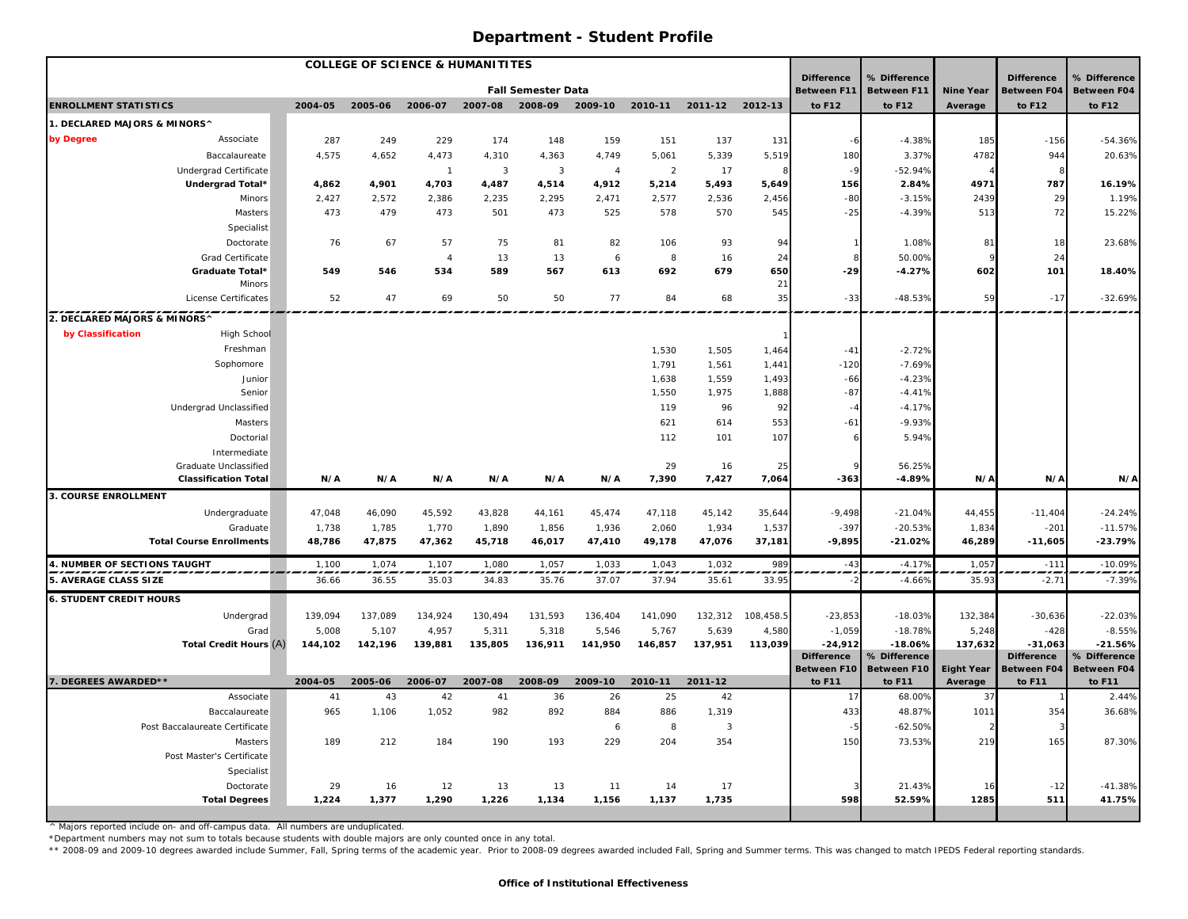| <b>COLLEGE OF SCIENCE &amp; HUMANITITES</b> |                                         |         |         |                |                |                           |                |                |                |                |                                         |                                    |                   |                                         |                              |
|---------------------------------------------|-----------------------------------------|---------|---------|----------------|----------------|---------------------------|----------------|----------------|----------------|----------------|-----------------------------------------|------------------------------------|-------------------|-----------------------------------------|------------------------------|
|                                             |                                         |         |         |                |                | <b>Fall Semester Data</b> |                |                |                |                | <b>Difference</b><br><b>Between F11</b> | % Difference<br><b>Between F11</b> | <b>Nine Year</b>  | <b>Difference</b><br><b>Between F04</b> | % Difference<br>Between F04  |
| <b>ENROLLMENT STATISTICS</b>                |                                         | 2004-05 | 2005-06 | 2006-07        | 2007-08        | 2008-09                   | 2009-10        | 2010-11        | 2011-12        | 2012-13        | to F12                                  | to F12                             | Average           | to F12                                  | to F12                       |
| 1. DECLARED MAJORS & MINORS^                |                                         |         |         |                |                |                           |                |                |                |                |                                         |                                    |                   |                                         |                              |
| by Degree                                   | Associate                               | 287     | 249     | 229            | 174            | 148                       | 159            | 151            | 137            | 131            | -6                                      | $-4.38%$                           | 185               | $-156$                                  | $-54.36%$                    |
|                                             | Baccalaureate                           | 4,575   | 4,652   | 4,473          | 4,310          | 4,363                     | 4,749          | 5,061          | 5,339          | 5,519          | 180                                     | 3.37%                              | 4782              | 944                                     | 20.63%                       |
|                                             | <b>Undergrad Certificate</b>            |         |         | $\overline{1}$ | $\overline{3}$ | 3                         | $\overline{4}$ | $\overline{2}$ | 17             |                | $-9$                                    | $-52.94%$                          |                   |                                         |                              |
|                                             | Undergrad Total*                        | 4,862   | 4,901   | 4,703          | 4,487          | 4,514                     | 4,912          | 5,214          | 5,493          | 5,649          | 156                                     | 2.84%                              | 4971              | 787                                     | 16.19%                       |
|                                             | Minors                                  | 2,427   | 2,572   | 2,386          | 2,235          | 2,295                     | 2,471          | 2,577          | 2,536          | 2,456          | $-80$                                   | $-3.15%$                           | 2439              | 29                                      | 1.19%                        |
|                                             | Masters                                 | 473     | 479     | 473            | 501            | 473                       | 525            | 578            | 570            | 545            | $-25$                                   | $-4.39%$                           | 513               | 72                                      | 15.22%                       |
|                                             | Specialist                              |         |         |                |                |                           |                |                |                |                |                                         |                                    |                   |                                         |                              |
|                                             | Doctorate                               | 76      | 67      | 57             | 75             | 81                        | 82             | 106            | 93             | 94             |                                         | 1.08%                              | 81                | 18                                      | 23.68%                       |
|                                             | Grad Certificate                        |         |         | $\overline{4}$ | 13             | 13                        | 6              | 8              | 16             | 24             |                                         | 50.00%                             |                   | 24                                      |                              |
|                                             | Graduate Total*                         | 549     | 546     | 534            | 589            | 567                       | 613            | 692            | 679            | 650            | $-29$                                   | $-4.27%$                           | 602               | 101                                     | 18.40%                       |
|                                             | Minors<br>License Certificates          | 52      | 47      | 69             | 50             | 50                        | 77             | 84             | 68             | 21<br>35       | $-33$                                   | $-48.53%$                          | 59                | $-17$                                   | $-32.69%$                    |
|                                             |                                         |         |         |                |                |                           |                |                |                |                |                                         |                                    |                   |                                         |                              |
| 2. DECLARED MAJORS & MINORS^                |                                         |         |         |                |                |                           |                |                |                |                |                                         |                                    |                   |                                         |                              |
| by Classification                           | High School                             |         |         |                |                |                           |                |                |                |                |                                         |                                    |                   |                                         |                              |
|                                             | Freshman                                |         |         |                |                |                           |                | 1,530          | 1,505          | 1,464          | $-41$                                   | $-2.72%$                           |                   |                                         |                              |
|                                             | Sophomore                               |         |         |                |                |                           |                | 1,791          | 1,561          | 1,441          | $-120$                                  | $-7.69%$                           |                   |                                         |                              |
|                                             | Junior                                  |         |         |                |                |                           |                | 1,638<br>1,550 | 1,559<br>1,975 | 1,493<br>1,888 | $-66$<br>$-87$                          | $-4.23%$<br>$-4.41%$               |                   |                                         |                              |
|                                             | Senior<br><b>Undergrad Unclassified</b> |         |         |                |                |                           |                | 119            | 96             | 92             | $-4$                                    | $-4.17%$                           |                   |                                         |                              |
|                                             | Masters                                 |         |         |                |                |                           |                | 621            | 614            | 553            | $-61$                                   | $-9.93%$                           |                   |                                         |                              |
|                                             | Doctorial                               |         |         |                |                |                           |                | 112            | 101            | 107            |                                         | 5.94%                              |                   |                                         |                              |
|                                             | Intermediate                            |         |         |                |                |                           |                |                |                |                |                                         |                                    |                   |                                         |                              |
|                                             | Graduate Unclassified                   |         |         |                |                |                           |                | 29             | 16             | 25             |                                         | 56.25%                             |                   |                                         |                              |
|                                             | <b>Classification Total</b>             | N/A     | N/A     | N/A            | N/A            | N/A                       | N/A            | 7,390          | 7,427          | 7,064          | $-363$                                  | $-4.89%$                           | N/A               | N/A                                     | N/A                          |
| <b>3. COURSE ENROLLMENT</b>                 |                                         |         |         |                |                |                           |                |                |                |                |                                         |                                    |                   |                                         |                              |
|                                             | Undergraduate                           | 47,048  | 46,090  | 45,592         | 43,828         | 44,161                    | 45,474         | 47,118         | 45,142         | 35,644         | $-9,498$                                | $-21.04%$                          | 44,455            | $-11,404$                               | $-24.24%$                    |
|                                             | Graduate                                | 1,738   | 1,785   | 1,770          | 1,890          | 1,856                     | 1,936          | 2,060          | 1,934          | 1,537          | $-397$                                  | $-20.53%$                          | 1,834             | $-201$                                  | $-11.57%$                    |
|                                             | <b>Total Course Enrollments</b>         | 48,786  | 47,875  | 47,362         | 45,718         | 46,017                    | 47,410         | 49,178         | 47,076         | 37,181         | $-9,895$                                | $-21.02%$                          | 46,289            | $-11,605$                               | $-23.79%$                    |
| 4. NUMBER OF SECTIONS TAUGHT                |                                         | 1,100   | 1,074   | 1,107          | 1,080          | 1,057                     | 1,033          | 1,043          | 1,032          | 989            | $-43$                                   | $-4.17%$                           | 1,057             | $-11'$                                  | $-10.09%$                    |
| 5. AVERAGE CLASS SIZE                       |                                         | 36.66   | 36.55   | 35.03          | 34.83          | 35.76                     | 37.07          | 37.94          | 35.61          | 33.95          |                                         | $-4.66%$                           | 35.93             | $-2.7$                                  | $-7.39%$                     |
| <b>6. STUDENT CREDIT HOURS</b>              |                                         |         |         |                |                |                           |                |                |                |                |                                         |                                    |                   |                                         |                              |
|                                             | Undergrad                               | 139,094 | 137,089 | 134,924        | 130,494        | 131,593                   | 136,404        | 141,090        | 132,312        | 108,458.5      | $-23,853$                               | $-18.03%$                          | 132,384           | $-30,636$                               | $-22.03%$                    |
|                                             | Grad                                    | 5,008   | 5,107   | 4,957          | 5,311          | 5,318                     | 5,546          | 5,767          | 5,639          | 4,580          | $-1,059$                                | $-18.78%$                          | 5,248             | $-428$                                  | $-8.55%$                     |
|                                             | Total Credit Hours (A)                  | 144,102 | 142,196 | 139,881        | 135,805        | 136,911                   | 141,950        | 146,857        | 137,951        | 113,039        | $-24,912$                               | $-18.06%$                          | 137,632           | $-31.063$                               | $-21.56%$                    |
|                                             |                                         |         |         |                |                |                           |                |                |                |                | <b>Difference</b>                       | % Difference                       |                   | <b>Difference</b>                       | % Difference                 |
| 7. DEGREES AWARDED**                        |                                         | 2004-05 | 2005-06 | 2006-07        | 2007-08        | 2008-09                   | 2009-10        | 2010-11        | 2011-12        |                | Between F10                             | Between F10                        | <b>Eight Year</b> | <b>Between F04</b><br>to F11            | <b>Between F04</b><br>to F11 |
|                                             | Associate                               | 41      | 43      | 42             | 41             | 36                        | 26             | 25             | 42             |                | to F11<br>17                            | to F11<br>68.00%                   | Average<br>37     |                                         | 2.44%                        |
|                                             | Baccalaureate                           | 965     | 1,106   | 1,052          | 982            | 892                       | 884            | 886            | 1,319          |                | 433                                     | 48.87%                             | 1011              | 354                                     | 36.68%                       |
|                                             | Post Baccalaureate Certificate          |         |         |                |                |                           | 6              | 8              | $\overline{3}$ |                | $-5$                                    | $-62.50%$                          |                   |                                         |                              |
|                                             | Masters                                 | 189     | 212     | 184            | 190            | 193                       | 229            | 204            | 354            |                | 150                                     | 73.53%                             | 219               | 165                                     | 87.30%                       |
|                                             | Post Master's Certificate               |         |         |                |                |                           |                |                |                |                |                                         |                                    |                   |                                         |                              |
|                                             | Specialist                              |         |         |                |                |                           |                |                |                |                |                                         |                                    |                   |                                         |                              |
|                                             | Doctorate                               | 29      | 16      | 12             | 13             | 13                        | 11             | 14             | 17             |                |                                         | 21.43%                             | 16                | $-12$                                   | $-41.38%$                    |
|                                             | <b>Total Degrees</b>                    | 1,224   | 1,377   | 1,290          | 1,226          | 1,134                     | 1,156          | 1,137          | 1,735          |                | 598                                     | 52.59%                             | 1285              | 511                                     | 41.75%                       |
|                                             |                                         |         |         |                |                |                           |                |                |                |                |                                         |                                    |                   |                                         |                              |

^ Majors reported include on- and off-campus data. All numbers are unduplicated.

\*Department numbers may not sum to totals because students with double majors are only counted once in any total.<br>\*\* 2008-09 and 2009-10 degrees awarded include Summer, Fall, Spring terms of the academic year. Prior to 20